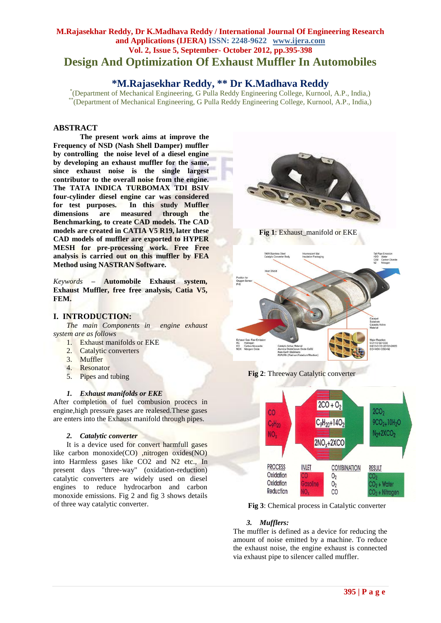# **M.Rajasekhar Reddy, Dr K.Madhava Reddy / International Journal Of Engineering Research and Applications (IJERA) ISSN: 2248-9622 www.ijera.com Vol. 2, Issue 5, September- October 2012, pp.395-398 Design And Optimization Of Exhaust Muffler In Automobiles**

# **\*M.Rajasekhar Reddy, \*\* Dr K.Madhava Reddy**

\* (Department of Mechanical Engineering, G Pulla Reddy Engineering College, Kurnool, A.P., India,) \*\*(Department of Mechanical Engineering, G Pulla Reddy Engineering College, Kurnool, A.P., India,)

## **ABSTRACT**

**The present work aims at improve the Frequency of NSD (Nash Shell Damper) muffler by controlling the noise level of a diesel engine by developing an exhaust muffler for the same, since exhaust noise is the single largest contributor to the overall noise from the engine. The TATA INDICA TURBOMAX TDI BSIV four-cylinder diesel engine car was considered for test purposes. In this study Muffler dimensions are measured through the Benchmarking, to create CAD models. The CAD models are created in CATIA V5 R19, later these CAD models of muffler are exported to HYPER MESH for pre-processing work. Free Free analysis is carried out on this muffler by FEA Method using NASTRAN Software.** 

*Keywords* **– Automobile Exhaust system, Exhaust Muffler, free free analysis, Catia V5, FEM.**

## **I. INTRODUCTION:**

*The main Components in engine exhaust system are as follows*

- 1. Exhaust manifolds or EKE
- 2. Catalytic converters
- 3. Muffler
- 4. Resonator
- 5. Pipes and tubing

## *1. Exhaust manifolds or EKE*

After completion of fuel combusion procecs in engine,high pressure gases are realesed.These gases are enters into the Exhaust manifold through pipes.

#### *2. Catalytic converter*

It is a device used for convert harmfull gases like carbon monoxide(CO) ,nitrogen oxides(NO) into Harmless gases like CO2 and N2 etc., In present days "three-way" (oxidation-reduction) catalytic converters are widely used on diesel engines to reduce hydrocarbon and carbon monoxide emissions. Fig 2 and fig 3 shows details of three way catalytic converter.







 **Fig 3**: Chemical process in Catalytic converter

## *3. Mufflers:*

The muffler is defined as a device for reducing the amount of noise emitted by a machine. To reduce the exhaust noise, the engine exhaust is connected via exhaust pipe to silencer called muffler.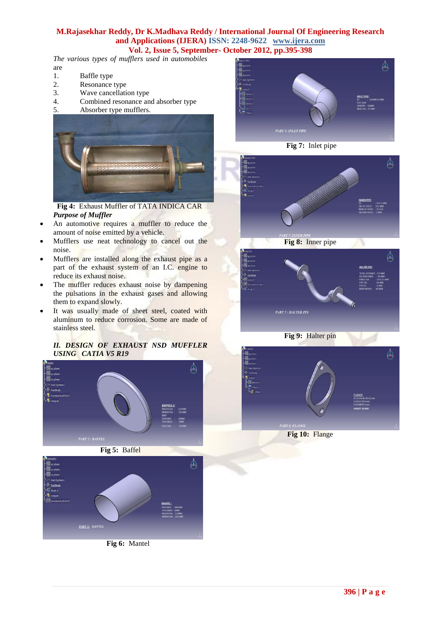## **M.Rajasekhar Reddy, Dr K.Madhava Reddy / International Journal Of Engineering Research and Applications (IJERA) ISSN: 2248-9622 www.ijera.com Vol. 2, Issue 5, September- October 2012, pp.395-398**

*The various types of mufflers used in automobiles* are

- 1. Baffle type
- 2. Resonance type
- 3. Wave cancellation type
- 4. Combined resonance and absorber type
- 5. Absorber type mufflers.



**Fig 4:** Exhaust Muffler of TATA INDICA CAR *Purpose of Muffler*

- An automotive requires a muffler to reduce the amount of noise emitted by a vehicle.
- Mufflers use neat technology to cancel out the noise.
- Mufflers are installed along the exhaust pipe as a part of the exhaust system of an I.C. engine to reduce its exhaust noise.
- The muffler reduces exhaust noise by dampening the pulsations in the exhaust gases and allowing them to expand slowly.
- It was usually made of sheet steel, coated with aluminum to reduce corrosion. Some are made of stainless steel.

### *II. DESIGN OF EXHAUST NSD MUFFLER USING CATIA V5 R19*





**Fig 6:** Mantel













**Fig 10:** Flange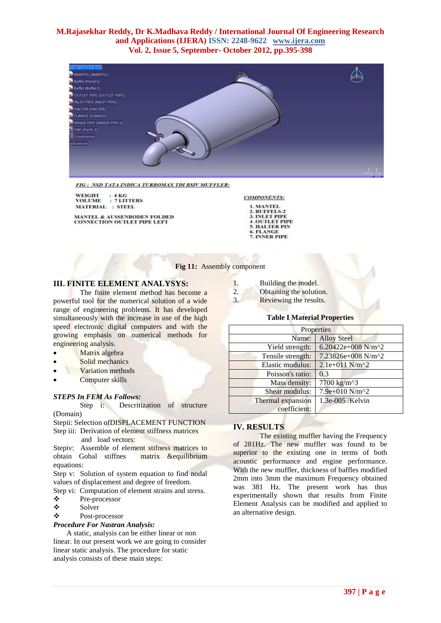## **M.Rajasekhar Reddy, Dr K.Madhava Reddy / International Journal Of Engineering Research and Applications (IJERA) ISSN: 2248-9622 www.ijera.com Vol. 2, Issue 5, September- October 2012, pp.395-398**



FIG: NSD TATA INDICA TURBOMAX TDI BSIV MUFFLER:

 $: 4KG$ <br> $: 7 LITTERS$ **WEIGHT VOLUME MATERIAL : STEEL** 

**MANTEL & AUSSENBODEN FOLDED<br>CONNECTION OUTLET PIPE LEFT** 

**COMPONENTS:** 1. MANTEL

- **BUFFELS-2** 3. INLET PIPE
- **4 .OUTLET PIPE**<br>5. HALTER PIN 6. FLANGE
- 7. INNER PIPE

#### **Fig 11:** Assembly component

### **III. FINITE ELEMENT ANALYSYS:**

The finite element method has become a powerful tool for the numerical solution of a wide range of engineering problems. It has developed simultaneously with the increase in use of the high speed electronic digital computers and with the growing emphasis on numerical methods for engineering analysis.

- Matrix algebra
- Solid mechanics
- Variation methods
- Computer skills

#### *STEPS In FEM As Follows:*

Step i: Descritization of structure

(Domain)

Stepii: Selection ofDISPLACEMENT FUNCTION Step iii: Derivation of element stiffness matrices and load vectors:

Stepiv: Assemble of element stifness matrices to obtain Gobal stiffnes matrix &equilibrium equations:

Step v: Solution of system equation to find nodal values of displacement and degree of freedom.

Step vi: Computation of element strains and stress.

- $\begin{array}{cc}\n\bullet \\
\bullet \\
\bullet\n\end{array}$  Pre-processor
- Solver
- Post-processor

## *Procedure For Nastran Analysis:*

A static, analysis can be either linear or non linear. In our present work we are going to consider linear static analysis. The procedure for static analysis consists of these main steps:

- 1. Building the model.
- 2. Obtaining the solution.

3. Reviewing the results.

#### **Table I Material Properties**

| Properties        |                             |  |
|-------------------|-----------------------------|--|
| Name:             | <b>Alloy Steel</b>          |  |
| Yield strength:   | 6.20422e+008 N/m^2          |  |
| Tensile strength: | 7.23826e+008 N/m^2          |  |
| Elastic modulus:  | $2.1e+011$ N/m <sup>2</sup> |  |
| Poisson's ratio:  | 0.3                         |  |
| Mass density:     | 7700 kg/m^3                 |  |
| Shear modulus:    | 7.9e+010 N/m^2              |  |
| Thermal expansion | 1.3e-005 /Kelvin            |  |
| coefficient:      |                             |  |

## **IV. RESULTS**

The existing muffler having the Frequency of 281Hz. The new muffler was found to be superior to the existing one in terms of both acoustic performance and engine performance. With the new muffler, thickness of baffles modified 2mm into 3mm the maximum Frequency obtained was 381 Hz. The present work has thus experimentally shown that results from Finite Element Analysis can be modified and applied to an alternative design.